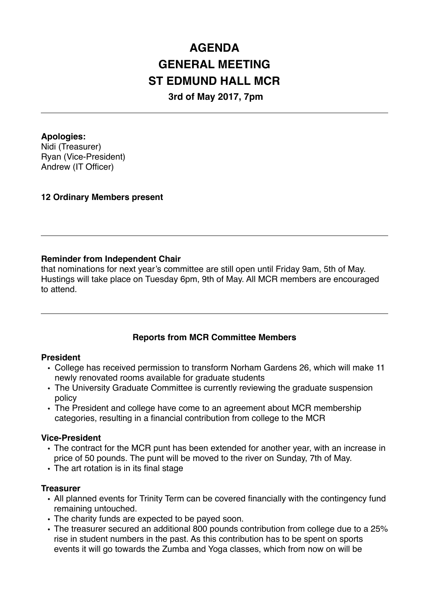# **AGENDA GENERAL MEETING ST EDMUND HALL MCR**

**3rd of May 2017, 7pm**

#### **Apologies:**

Nidi (Treasurer) Ryan (Vice-President) Andrew (IT Officer)

#### **12 Ordinary Members present**

# **Reminder from Independent Chair**

that nominations for next year's committee are still open until Friday 9am, 5th of May. Hustings will take place on Tuesday 6pm, 9th of May. All MCR members are encouraged to attend.

# **Reports from MCR Committee Members**

#### **President**

- College has received permission to transform Norham Gardens 26, which will make 11 newly renovated rooms available for graduate students
- The University Graduate Committee is currently reviewing the graduate suspension policy
- The President and college have come to an agreement about MCR membership categories, resulting in a financial contribution from college to the MCR

#### **Vice-President**

- The contract for the MCR punt has been extended for another year, with an increase in price of 50 pounds. The punt will be moved to the river on Sunday, 7th of May.
- The art rotation is in its final stage

# **Treasurer**

- All planned events for Trinity Term can be covered financially with the contingency fund remaining untouched.
- The charity funds are expected to be payed soon.
- The treasurer secured an additional 800 pounds contribution from college due to a 25% rise in student numbers in the past. As this contribution has to be spent on sports events it will go towards the Zumba and Yoga classes, which from now on will be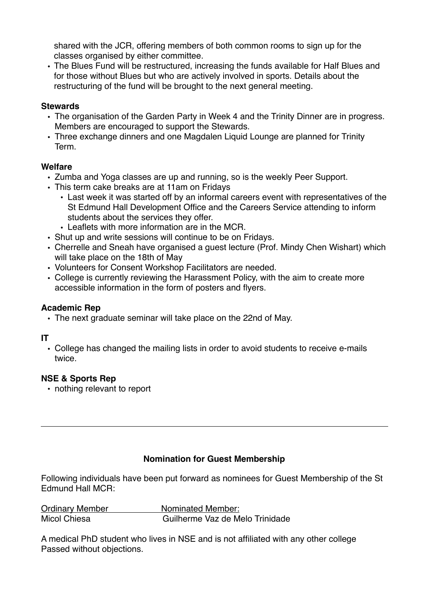shared with the JCR, offering members of both common rooms to sign up for the classes organised by either committee.

• The Blues Fund will be restructured, increasing the funds available for Half Blues and for those without Blues but who are actively involved in sports. Details about the restructuring of the fund will be brought to the next general meeting.

#### **Stewards**

- The organisation of the Garden Party in Week 4 and the Trinity Dinner are in progress. Members are encouraged to support the Stewards.
- Three exchange dinners and one Magdalen Liquid Lounge are planned for Trinity Term.

#### **Welfare**

- Zumba and Yoga classes are up and running, so is the weekly Peer Support.
- This term cake breaks are at 11am on Fridays
	- Last week it was started off by an informal careers event with representatives of the St Edmund Hall Development Office and the Careers Service attending to inform students about the services they offer.
	- Leaflets with more information are in the MCR.
- Shut up and write sessions will continue to be on Fridays.
- Cherrelle and Sneah have organised a guest lecture (Prof. Mindy Chen Wishart) which will take place on the 18th of May
- Volunteers for Consent Workshop Facilitators are needed.
- College is currently reviewing the Harassment Policy, with the aim to create more accessible information in the form of posters and flyers.

### **Academic Rep**

• The next graduate seminar will take place on the 22nd of May.

#### **IT**

• College has changed the mailing lists in order to avoid students to receive e-mails twice.

#### **NSE & Sports Rep**

• nothing relevant to report

#### **Nomination for Guest Membership**

Following individuals have been put forward as nominees for Guest Membership of the St Edmund Hall MCR:

Ordinary Member Nominated Member: Micol Chiesa Guilherme Vaz de Melo Trinidade

A medical PhD student who lives in NSE and is not affiliated with any other college Passed without objections.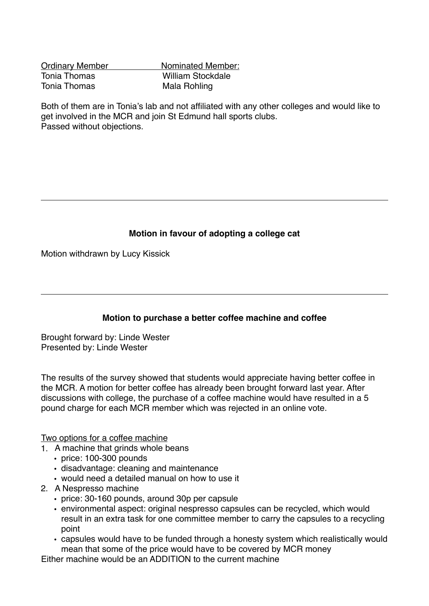| <b>Ordinary Member</b> | Nominated Member:        |
|------------------------|--------------------------|
| Tonia Thomas           | <b>William Stockdale</b> |
| Tonia Thomas           | Mala Rohling             |

Both of them are in Tonia's lab and not affiliated with any other colleges and would like to get involved in the MCR and join St Edmund hall sports clubs. Passed without objections.

# **Motion in favour of adopting a college cat**

Motion withdrawn by Lucy Kissick

# **Motion to purchase a better coffee machine and coffee**

Brought forward by: Linde Wester Presented by: Linde Wester

The results of the survey showed that students would appreciate having better coffee in the MCR. A motion for better coffee has already been brought forward last year. After discussions with college, the purchase of a coffee machine would have resulted in a 5 pound charge for each MCR member which was rejected in an online vote.

Two options for a coffee machine

- 1. A machine that grinds whole beans
	- price: 100-300 pounds
	- disadvantage: cleaning and maintenance
	- would need a detailed manual on how to use it
- 2. A Nespresso machine
	- price: 30-160 pounds, around 30p per capsule
	- environmental aspect: original nespresso capsules can be recycled, which would result in an extra task for one committee member to carry the capsules to a recycling point
	- capsules would have to be funded through a honesty system which realistically would mean that some of the price would have to be covered by MCR money

Either machine would be an ADDITION to the current machine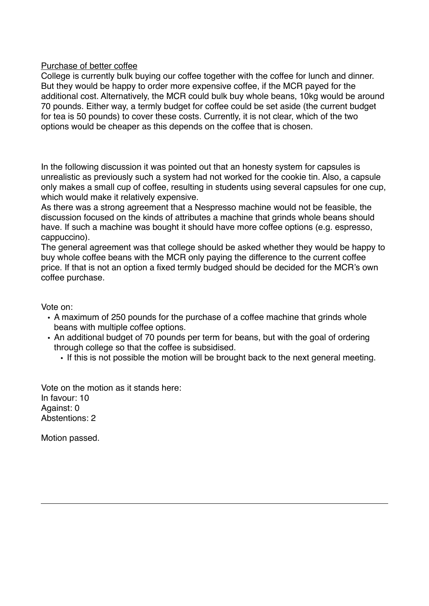#### Purchase of better coffee

College is currently bulk buying our coffee together with the coffee for lunch and dinner. But they would be happy to order more expensive coffee, if the MCR payed for the additional cost. Alternatively, the MCR could bulk buy whole beans, 10kg would be around 70 pounds. Either way, a termly budget for coffee could be set aside (the current budget for tea is 50 pounds) to cover these costs. Currently, it is not clear, which of the two options would be cheaper as this depends on the coffee that is chosen.

In the following discussion it was pointed out that an honesty system for capsules is unrealistic as previously such a system had not worked for the cookie tin. Also, a capsule only makes a small cup of coffee, resulting in students using several capsules for one cup, which would make it relatively expensive.

As there was a strong agreement that a Nespresso machine would not be feasible, the discussion focused on the kinds of attributes a machine that grinds whole beans should have. If such a machine was bought it should have more coffee options (e.g. espresso, cappuccino).

The general agreement was that college should be asked whether they would be happy to buy whole coffee beans with the MCR only paying the difference to the current coffee price. If that is not an option a fixed termly budged should be decided for the MCR's own coffee purchase.

Vote on:

- A maximum of 250 pounds for the purchase of a coffee machine that grinds whole beans with multiple coffee options.
- An additional budget of 70 pounds per term for beans, but with the goal of ordering through college so that the coffee is subsidised.
	- If this is not possible the motion will be brought back to the next general meeting.

Vote on the motion as it stands here: In favour: 10 Against: 0 Abstentions: 2

Motion passed.